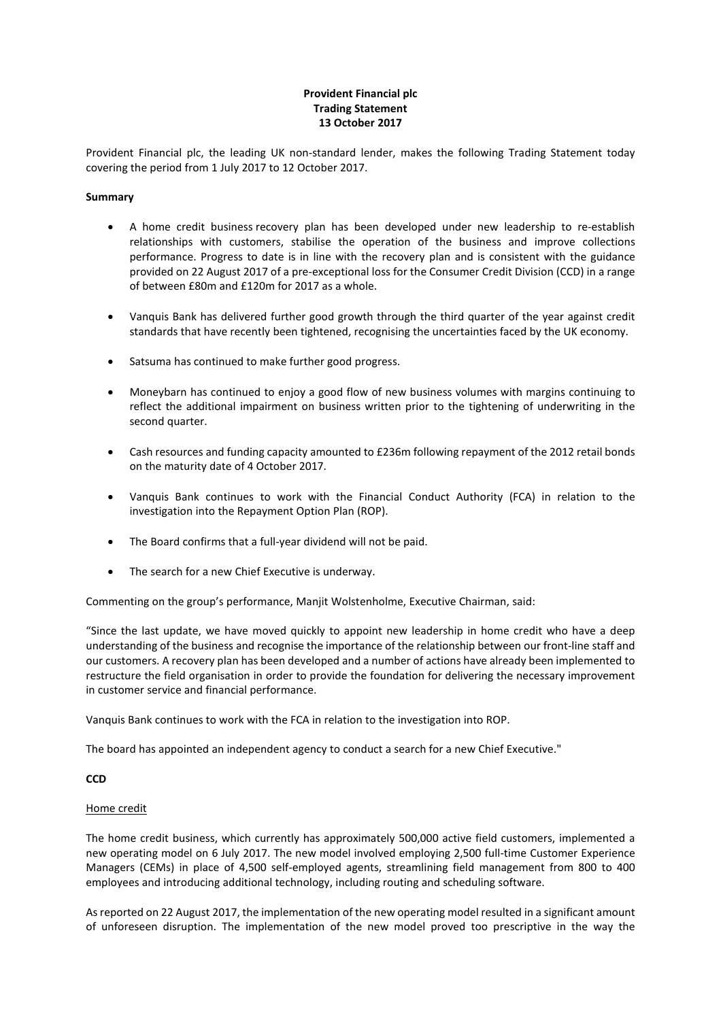# **Provident Financial plc Trading Statement 13 October 2017**

Provident Financial plc, the leading UK non-standard lender, makes the following Trading Statement today covering the period from 1 July 2017 to 12 October 2017.

### **Summary**

- A home credit business recovery plan has been developed under new leadership to re-establish relationships with customers, stabilise the operation of the business and improve collections performance. Progress to date is in line with the recovery plan and is consistent with the guidance provided on 22 August 2017 of a pre-exceptional loss for the Consumer Credit Division (CCD) in a range of between £80m and £120m for 2017 as a whole.
- Vanquis Bank has delivered further good growth through the third quarter of the year against credit standards that have recently been tightened, recognising the uncertainties faced by the UK economy.
- Satsuma has continued to make further good progress.
- Moneybarn has continued to enjoy a good flow of new business volumes with margins continuing to reflect the additional impairment on business written prior to the tightening of underwriting in the second quarter.
- Cash resources and funding capacity amounted to £236m following repayment of the 2012 retail bonds on the maturity date of 4 October 2017.
- Vanquis Bank continues to work with the Financial Conduct Authority (FCA) in relation to the investigation into the Repayment Option Plan (ROP).
- The Board confirms that a full-year dividend will not be paid.
- The search for a new Chief Executive is underway.

Commenting on the group's performance, Manjit Wolstenholme, Executive Chairman, said:

"Since the last update, we have moved quickly to appoint new leadership in home credit who have a deep understanding of the business and recognise the importance of the relationship between our front-line staff and our customers. A recovery plan has been developed and a number of actions have already been implemented to restructure the field organisation in order to provide the foundation for delivering the necessary improvement in customer service and financial performance.

Vanquis Bank continues to work with the FCA in relation to the investigation into ROP.

The board has appointed an independent agency to conduct a search for a new Chief Executive."

# **CCD**

#### Home credit

The home credit business, which currently has approximately 500,000 active field customers, implemented a new operating model on 6 July 2017. The new model involved employing 2,500 full-time Customer Experience Managers (CEMs) in place of 4,500 self-employed agents, streamlining field management from 800 to 400 employees and introducing additional technology, including routing and scheduling software.

Asreported on 22 August 2017, the implementation of the new operating model resulted in a significant amount of unforeseen disruption. The implementation of the new model proved too prescriptive in the way the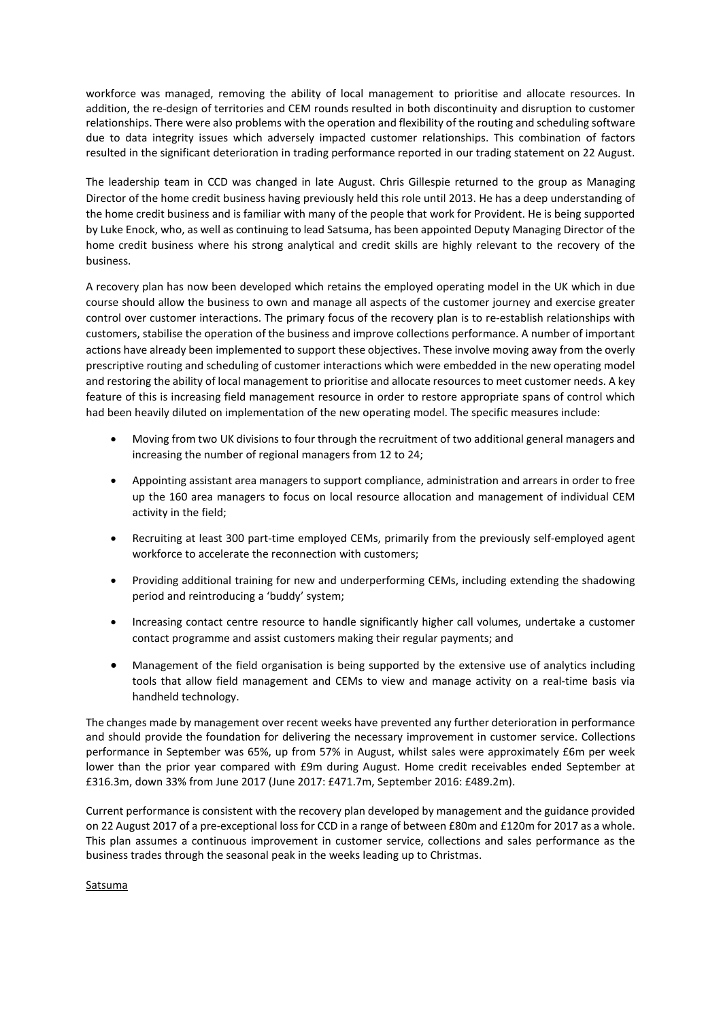workforce was managed, removing the ability of local management to prioritise and allocate resources. In addition, the re-design of territories and CEM rounds resulted in both discontinuity and disruption to customer relationships. There were also problems with the operation and flexibility of the routing and scheduling software due to data integrity issues which adversely impacted customer relationships. This combination of factors resulted in the significant deterioration in trading performance reported in our trading statement on 22 August.

The leadership team in CCD was changed in late August. Chris Gillespie returned to the group as Managing Director of the home credit business having previously held this role until 2013. He has a deep understanding of the home credit business and is familiar with many of the people that work for Provident. He is being supported by Luke Enock, who, as well as continuing to lead Satsuma, has been appointed Deputy Managing Director of the home credit business where his strong analytical and credit skills are highly relevant to the recovery of the business.

A recovery plan has now been developed which retains the employed operating model in the UK which in due course should allow the business to own and manage all aspects of the customer journey and exercise greater control over customer interactions. The primary focus of the recovery plan is to re-establish relationships with customers, stabilise the operation of the business and improve collections performance. A number of important actions have already been implemented to support these objectives. These involve moving away from the overly prescriptive routing and scheduling of customer interactions which were embedded in the new operating model and restoring the ability of local management to prioritise and allocate resources to meet customer needs. A key feature of this is increasing field management resource in order to restore appropriate spans of control which had been heavily diluted on implementation of the new operating model. The specific measures include:

- Moving from two UK divisions to four through the recruitment of two additional general managers and increasing the number of regional managers from 12 to 24;
- Appointing assistant area managers to support compliance, administration and arrears in order to free up the 160 area managers to focus on local resource allocation and management of individual CEM activity in the field;
- Recruiting at least 300 part-time employed CEMs, primarily from the previously self-employed agent workforce to accelerate the reconnection with customers;
- Providing additional training for new and underperforming CEMs, including extending the shadowing period and reintroducing a 'buddy' system;
- Increasing contact centre resource to handle significantly higher call volumes, undertake a customer contact programme and assist customers making their regular payments; and
- Management of the field organisation is being supported by the extensive use of analytics including tools that allow field management and CEMs to view and manage activity on a real-time basis via handheld technology.

The changes made by management over recent weeks have prevented any further deterioration in performance and should provide the foundation for delivering the necessary improvement in customer service. Collections performance in September was 65%, up from 57% in August, whilst sales were approximately £6m per week lower than the prior year compared with £9m during August. Home credit receivables ended September at £316.3m, down 33% from June 2017 (June 2017: £471.7m, September 2016: £489.2m).

Current performance is consistent with the recovery plan developed by management and the guidance provided on 22 August 2017 of a pre-exceptional loss for CCD in a range of between £80m and £120m for 2017 as a whole. This plan assumes a continuous improvement in customer service, collections and sales performance as the business trades through the seasonal peak in the weeks leading up to Christmas.

# **Satsuma**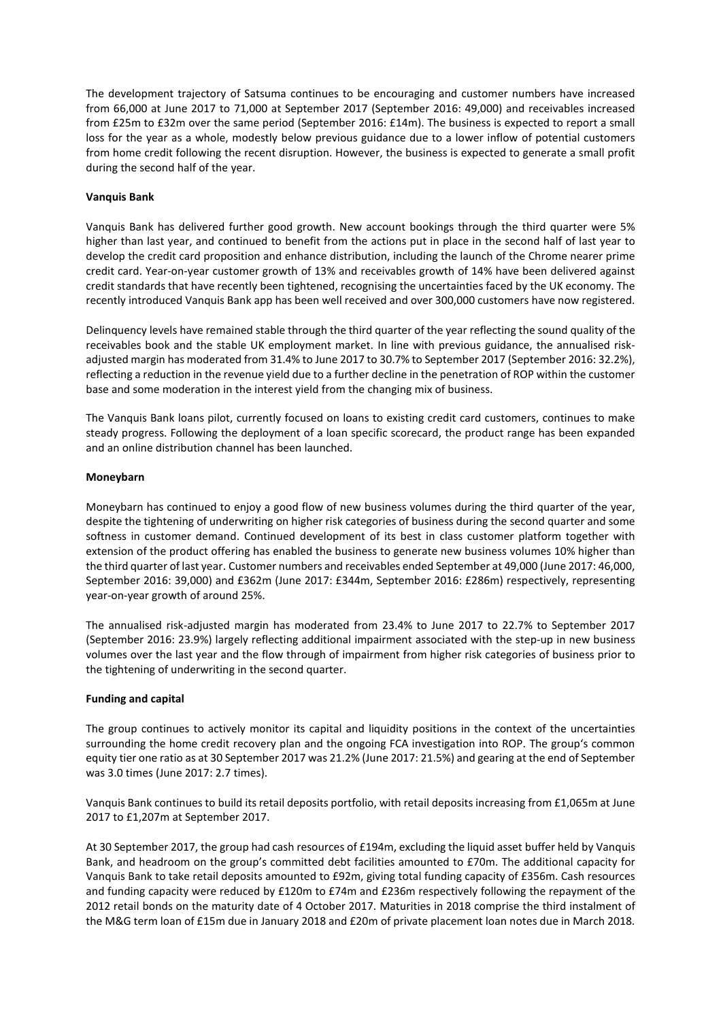The development trajectory of Satsuma continues to be encouraging and customer numbers have increased from 66,000 at June 2017 to 71,000 at September 2017 (September 2016: 49,000) and receivables increased from £25m to £32m over the same period (September 2016: £14m). The business is expected to report a small loss for the year as a whole, modestly below previous guidance due to a lower inflow of potential customers from home credit following the recent disruption. However, the business is expected to generate a small profit during the second half of the year.

# **Vanquis Bank**

Vanquis Bank has delivered further good growth. New account bookings through the third quarter were 5% higher than last year, and continued to benefit from the actions put in place in the second half of last year to develop the credit card proposition and enhance distribution, including the launch of the Chrome nearer prime credit card. Year-on-year customer growth of 13% and receivables growth of 14% have been delivered against credit standards that have recently been tightened, recognising the uncertainties faced by the UK economy. The recently introduced Vanquis Bank app has been well received and over 300,000 customers have now registered.

Delinquency levels have remained stable through the third quarter of the year reflecting the sound quality of the receivables book and the stable UK employment market. In line with previous guidance, the annualised riskadjusted margin has moderated from 31.4% to June 2017 to 30.7% to September 2017 (September 2016: 32.2%), reflecting a reduction in the revenue yield due to a further decline in the penetration of ROP within the customer base and some moderation in the interest yield from the changing mix of business.

The Vanquis Bank loans pilot, currently focused on loans to existing credit card customers, continues to make steady progress. Following the deployment of a loan specific scorecard, the product range has been expanded and an online distribution channel has been launched.

### **Moneybarn**

Moneybarn has continued to enjoy a good flow of new business volumes during the third quarter of the year, despite the tightening of underwriting on higher risk categories of business during the second quarter and some softness in customer demand. Continued development of its best in class customer platform together with extension of the product offering has enabled the business to generate new business volumes 10% higher than the third quarter of last year. Customer numbers and receivables ended September at 49,000 (June 2017: 46,000, September 2016: 39,000) and £362m (June 2017: £344m, September 2016: £286m) respectively, representing year-on-year growth of around 25%.

The annualised risk-adjusted margin has moderated from 23.4% to June 2017 to 22.7% to September 2017 (September 2016: 23.9%) largely reflecting additional impairment associated with the step-up in new business volumes over the last year and the flow through of impairment from higher risk categories of business prior to the tightening of underwriting in the second quarter.

# **Funding and capital**

The group continues to actively monitor its capital and liquidity positions in the context of the uncertainties surrounding the home credit recovery plan and the ongoing FCA investigation into ROP. The group's common equity tier one ratio as at 30 September 2017 was 21.2% (June 2017: 21.5%) and gearing at the end of September was 3.0 times (June 2017: 2.7 times).

Vanquis Bank continues to build its retail deposits portfolio, with retail deposits increasing from £1,065m at June 2017 to £1,207m at September 2017.

At 30 September 2017, the group had cash resources of £194m, excluding the liquid asset buffer held by Vanquis Bank, and headroom on the group's committed debt facilities amounted to £70m. The additional capacity for Vanquis Bank to take retail deposits amounted to £92m, giving total funding capacity of £356m. Cash resources and funding capacity were reduced by £120m to £74m and £236m respectively following the repayment of the 2012 retail bonds on the maturity date of 4 October 2017. Maturities in 2018 comprise the third instalment of the M&G term loan of £15m due in January 2018 and £20m of private placement loan notes due in March 2018.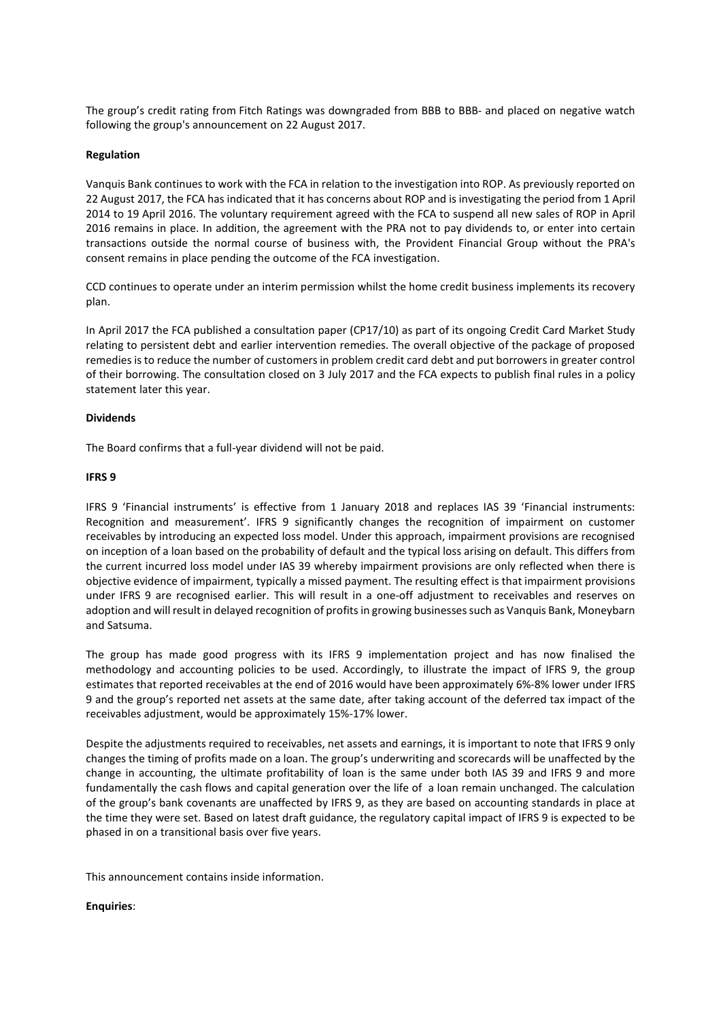The group's credit rating from Fitch Ratings was downgraded from BBB to BBB- and placed on negative watch following the group's announcement on 22 August 2017.

### **Regulation**

Vanquis Bank continues to work with the FCA in relation to the investigation into ROP. As previously reported on 22 August 2017, the FCA has indicated that it has concerns about ROP and is investigating the period from 1 April 2014 to 19 April 2016. The voluntary requirement agreed with the FCA to suspend all new sales of ROP in April 2016 remains in place. In addition, the agreement with the PRA not to pay dividends to, or enter into certain transactions outside the normal course of business with, the Provident Financial Group without the PRA's consent remains in place pending the outcome of the FCA investigation.

CCD continues to operate under an interim permission whilst the home credit business implements its recovery plan.

In April 2017 the FCA published a consultation paper (CP17/10) as part of its ongoing Credit Card Market Study relating to persistent debt and earlier intervention remedies. The overall objective of the package of proposed remedies is to reduce the number of customers in problem credit card debt and put borrowers in greater control of their borrowing. The consultation closed on 3 July 2017 and the FCA expects to publish final rules in a policy statement later this year.

# **Dividends**

The Board confirms that a full-year dividend will not be paid.

# **IFRS 9**

IFRS 9 'Financial instruments' is effective from 1 January 2018 and replaces IAS 39 'Financial instruments: Recognition and measurement'. IFRS 9 significantly changes the recognition of impairment on customer receivables by introducing an expected loss model. Under this approach, impairment provisions are recognised on inception of a loan based on the probability of default and the typical loss arising on default. This differs from the current incurred loss model under IAS 39 whereby impairment provisions are only reflected when there is objective evidence of impairment, typically a missed payment. The resulting effect is that impairment provisions under IFRS 9 are recognised earlier. This will result in a one-off adjustment to receivables and reserves on adoption and will result in delayed recognition of profits in growing businesses such as Vanquis Bank, Moneybarn and Satsuma.

The group has made good progress with its IFRS 9 implementation project and has now finalised the methodology and accounting policies to be used. Accordingly, to illustrate the impact of IFRS 9, the group estimates that reported receivables at the end of 2016 would have been approximately 6%-8% lower under IFRS 9 and the group's reported net assets at the same date, after taking account of the deferred tax impact of the receivables adjustment, would be approximately 15%-17% lower.

Despite the adjustments required to receivables, net assets and earnings, it is important to note that IFRS 9 only changes the timing of profits made on a loan. The group's underwriting and scorecards will be unaffected by the change in accounting, the ultimate profitability of loan is the same under both IAS 39 and IFRS 9 and more fundamentally the cash flows and capital generation over the life of a loan remain unchanged. The calculation of the group's bank covenants are unaffected by IFRS 9, as they are based on accounting standards in place at the time they were set. Based on latest draft guidance, the regulatory capital impact of IFRS 9 is expected to be phased in on a transitional basis over five years.

This announcement contains inside information.

#### **Enquiries**: